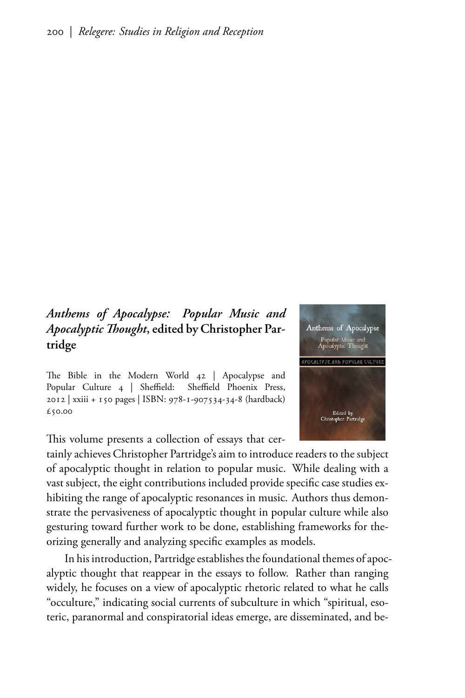## Anthems of Apocalypse: Popular Music and Apocalyptic Thought, edited by Christopher Partridge

The Bible in the Modern World 42 | Apocalypse and Popular Culture 4 | Sheffield: Sheffield Phoenix Press, 2012 | xxiii + 150 pages | ISBN: 978-1-907534-34-8 (hardback) £50.00

This volume presents a collection of essays that cer-

tainly achieves Christopher Partridge's aim to introduce readers to the subject of apocalyptic thought in relation to popular music. While dealing with a vast subject, the eight contributions included provide specific case studies exhibiting the range of apocalyptic resonances in music. Authors thus demonstrate the pervasiveness of apocalyptic thought in popular culture while also gesturing toward further work to be done, establishing frameworks for theorizing generally and analyzing specific examples as models.

In his introduction, Partridge establishes the foundational themes of apocalyptic thought that reappear in the essays to follow. Rather than ranging widely, he focuses on a view of apocalyptic rhetoric related to what he calls "occulture," indicating social currents of subculture in which "spiritual, esoteric, paranormal and conspiratorial ideas emerge, are disseminated, and be-

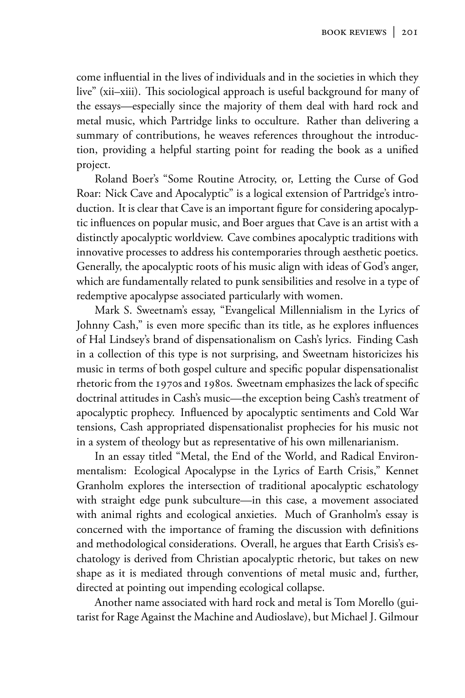come influential in the lives of individuals and in the societies in which they live" (xii-xiii). This sociological approach is useful background for many of the essays—especially since the majority of them deal with hard rock and metal music, which Partridge links to occulture. Rather than delivering a summary of contributions, he weaves references throughout the introduction, providing a helpful starting point for reading the book as a unified project.

Roland Boer's "Some Routine Atrocity, or, Letting the Curse of God Roar: Nick Cave and Apocalyptic" is a logical extension of Partridge's introduction. It is clear that Cave is an important figure for considering apocalyptic influences on popular music, and Boer argues that Cave is an artist with a distinctly apocalyptic worldview. Cave combines apocalyptic traditions with innovative processes to address his contemporaries through aesthetic poetics. Generally, the apocalyptic roots of his music align with ideas of God's anger, which are fundamentally related to punk sensibilities and resolve in a type of redemptive apocalypse associated particularly with women.

Mark S. Sweetnam's essay, "Evangelical Millennialism in the Lyrics of Johnny Cash," is even more specific than its title, as he explores influences of Hal Lindsey's brand of dispensationalism on Cash's lyrics. Finding Cash in a collection of this type is not surprising, and Sweetnam historicizes his music in terms of both gospel culture and specific popular dispensationalist rhetoric from the 1970s and 1980s. Sweetnam emphasizes the lack of specific doctrinal attitudes in Cash's music—the exception being Cash's treatment of apocalyptic prophecy. Influenced by apocalyptic sentiments and Cold War tensions, Cash appropriated dispensationalist prophecies for his music not in a system of theology but as representative of his own millenarianism.

In an essay titled "Metal, the End of the World, and Radical Environmentalism: Ecological Apocalypse in the Lyrics of Earth Crisis," Kennet Granholm explores the intersection of traditional apocalyptic eschatology with straight edge punk subculture—in this case, a movement associated with animal rights and ecological anxieties. Much of Granholm's essay is concerned with the importance of framing the discussion with definitions and methodological considerations. Overall, he argues that Earth Crisis's eschatology is derived from Christian apocalyptic rhetoric, but takes on new shape as it is mediated through conventions of metal music and, further, directed at pointing out impending ecological collapse.

Another name associated with hard rock and metal is Tom Morello (guitarist for Rage Against the Machine and Audioslave), but Michael J. Gilmour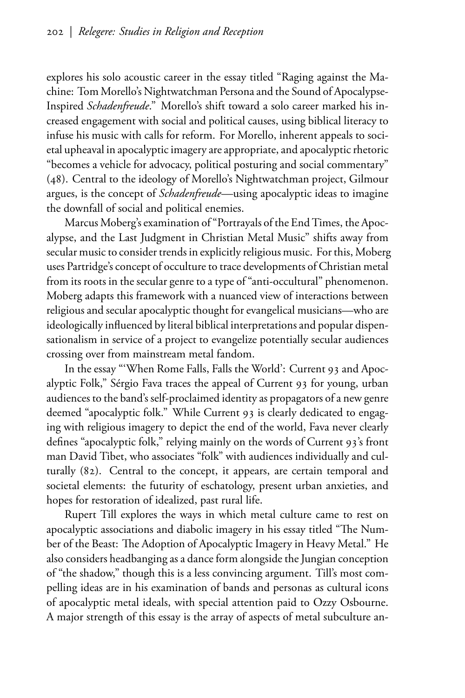explores his solo acoustic career in the essay titled "Raging against the Machine: Tom Morello's Nightwatchman Persona and the Sound of Apocalypse-Inspired Schadenfreude." Morello's shift toward a solo career marked his increased engagement with social and political causes, using biblical literacy to infuse his music with calls for reform. For Morello, inherent appeals to societal upheaval in apocalyptic imagery are appropriate, and apocalyptic rhetoric "becomes a vehicle for advocacy, political posturing and social commentary" (48). Central to the ideology of Morello's Nightwatchman project, Gilmour argues, is the concept of Schadenfreude—using apocalyptic ideas to imagine the downfall of social and political enemies.

Marcus Moberg's examination of "Portrayals of the End Times, the Apocalypse, and the Last Judgment in Christian Metal Music" shifts away from secular music to consider trends in explicitly religious music. For this, Moberg uses Partridge's concept of occulture to trace developments of Christian metal from its roots in the secular genre to a type of "anti-occultural" phenomenon. Moberg adapts this framework with a nuanced view of interactions between religious and secular apocalyptic thought for evangelical musicians-who are ideologically influenced by literal biblical interpretations and popular dispensationalism in service of a project to evangelize potentially secular audiences crossing over from mainstream metal fandom.

In the essay "'When Rome Falls, Falls the World': Current 93 and Apocalyptic Folk," Sérgio Fava traces the appeal of Current 93 for young, urban audiences to the band's self-proclaimed identity as propagators of a new genre deemed "apocalyptic folk." While Current 93 is clearly dedicated to engaging with religious imagery to depict the end of the world, Fava never clearly defines "apocalyptic folk," relying mainly on the words of Current 93's front man David Tibet, who associates "folk" with audiences individually and culturally (82). Central to the concept, it appears, are certain temporal and societal elements: the futurity of eschatology, present urban anxieties, and hopes for restoration of idealized, past rural life.

Rupert Till explores the ways in which metal culture came to rest on apocalyptic associations and diabolic imagery in his essay titled "The Number of the Beast: The Adoption of Apocalyptic Imagery in Heavy Metal." He also considers headbanging as a dance form alongside the Jungian conception of "the shadow," though this is a less convincing argument. Till's most compelling ideas are in his examination of bands and personas as cultural icons of apocalyptic metal ideals, with special attention paid to Ozzy Osbourne. A major strength of this essay is the array of aspects of metal subculture an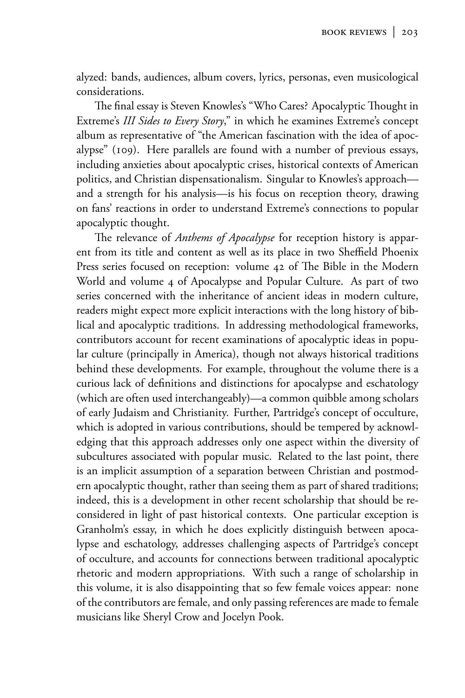alyzed: bands, audiences, album covers, lyrics, personas, even musicological considerations.

The final essay is Steven Knowles's "Who Cares? Apocalyptic Thought in Extreme's III Sides to Every Story," in which he examines Extreme's concept album as representative of "the American fascination with the idea of apocalypse" (109). Here parallels are found with a number of previous essays, including anxieties about apocalyptic crises, historical contexts of American politics, and Christian dispensationalism. Singular to Knowles's approach and a strength for his analysis—is his focus on reception theory, drawing on fans' reactions in order to understand Extreme's connections to popular apocalyptic thought.

The relevance of *Anthems of Apocalypse* for reception history is apparent from its title and content as well as its place in two Sheffield Phoenix Press series focused on reception: volume 42 of The Bible in the Modern World and volume 4 of Apocalypse and Popular Culture. As part of two series concerned with the inheritance of ancient ideas in modern culture, readers might expect more explicit interactions with the long history of biblical and apocalyptic traditions. In addressing methodological frameworks, contributors account for recent examinations of apocalyptic ideas in popular culture (principally in America), though not always historical traditions behind these developments. For example, throughout the volume there is a curious lack of definitions and distinctions for apocalypse and eschatology (which are often used interchangeably)—a common quibble among scholars of early Judaism and Christianity. Further, Partridge's concept of occulture, which is adopted in various contributions, should be tempered by acknowledging that this approach addresses only one aspect within the diversity of subcultures associated with popular music. Related to the last point, there is an implicit assumption of a separation between Christian and postmodern apocalyptic thought, rather than seeing them as part of shared traditions; indeed, this is a development in other recent scholarship that should be reconsidered in light of past historical contexts. One particular exception is Granholm's essay, in which he does explicitly distinguish between apocalypse and eschatology, addresses challenging aspects of Partridge's concept of occulture, and accounts for connections between traditional apocalyptic rhetoric and modern appropriations. With such a range of scholarship in this volume, it is also disappointing that so few female voices appear: none of the contributors are female, and only passing references are made to female musicians like Sheryl Crow and Jocelyn Pook.